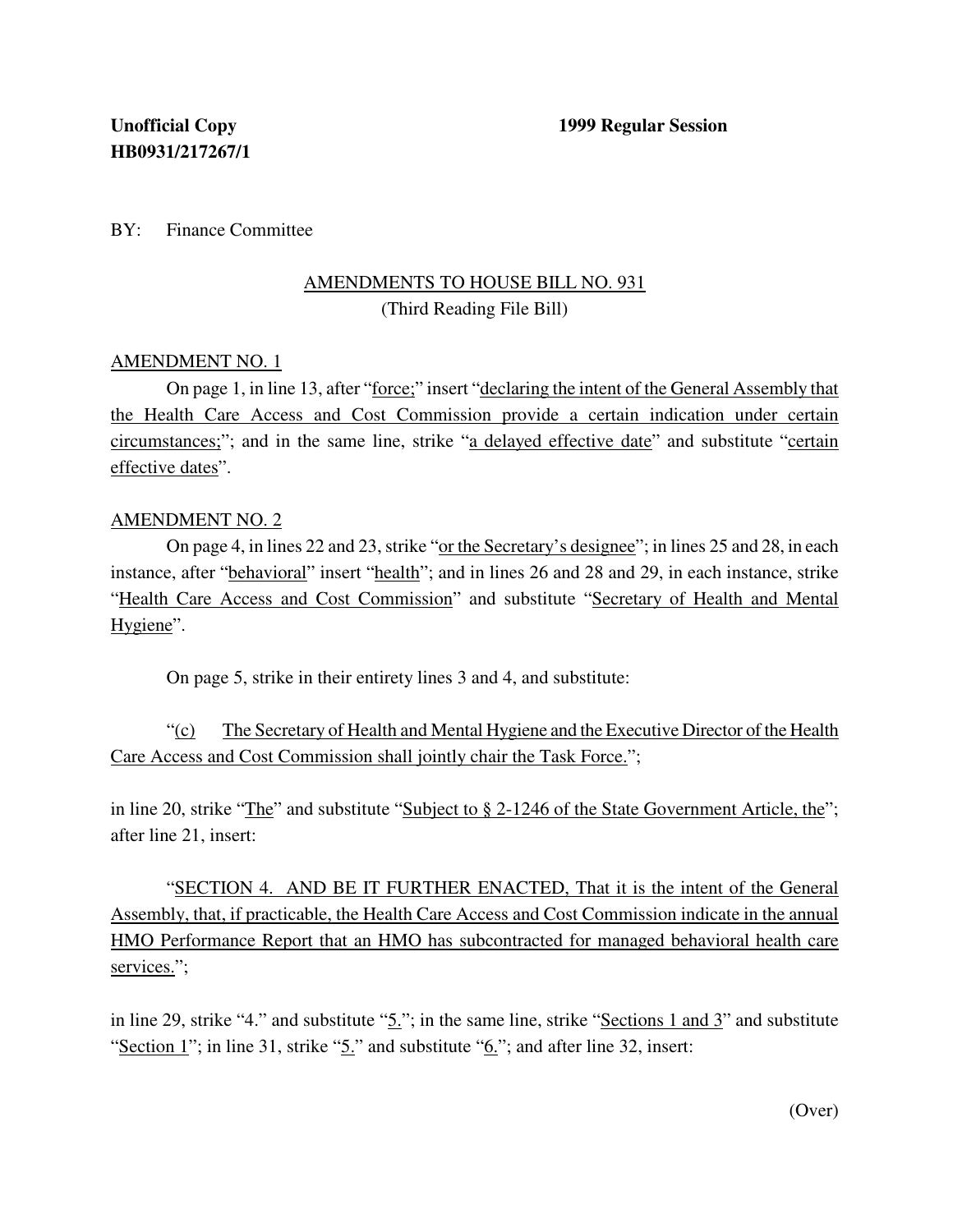## BY: Finance Committee

## AMENDMENTS TO HOUSE BILL NO. 931 (Third Reading File Bill)

## AMENDMENT NO. 1

On page 1, in line 13, after "force;" insert "declaring the intent of the General Assembly that the Health Care Access and Cost Commission provide a certain indication under certain circumstances;"; and in the same line, strike "a delayed effective date" and substitute "certain effective dates".

## AMENDMENT NO. 2

On page 4, in lines 22 and 23, strike "or the Secretary's designee"; in lines 25 and 28, in each instance, after "behavioral" insert "health"; and in lines 26 and 28 and 29, in each instance, strike "Health Care Access and Cost Commission" and substitute "Secretary of Health and Mental Hygiene".

On page 5, strike in their entirety lines 3 and 4, and substitute:

"(c) The Secretary of Health and Mental Hygiene and the Executive Director of the Health Care Access and Cost Commission shall jointly chair the Task Force.";

in line 20, strike "The" and substitute "Subject to § 2-1246 of the State Government Article, the"; after line 21, insert:

"SECTION 4. AND BE IT FURTHER ENACTED, That it is the intent of the General Assembly, that, if practicable, the Health Care Access and Cost Commission indicate in the annual HMO Performance Report that an HMO has subcontracted for managed behavioral health care services.";

in line 29, strike "4." and substitute "5."; in the same line, strike "Sections 1 and 3" and substitute "Section 1"; in line 31, strike " $5$ ." and substitute " $6$ ."; and after line 32, insert:

(Over)